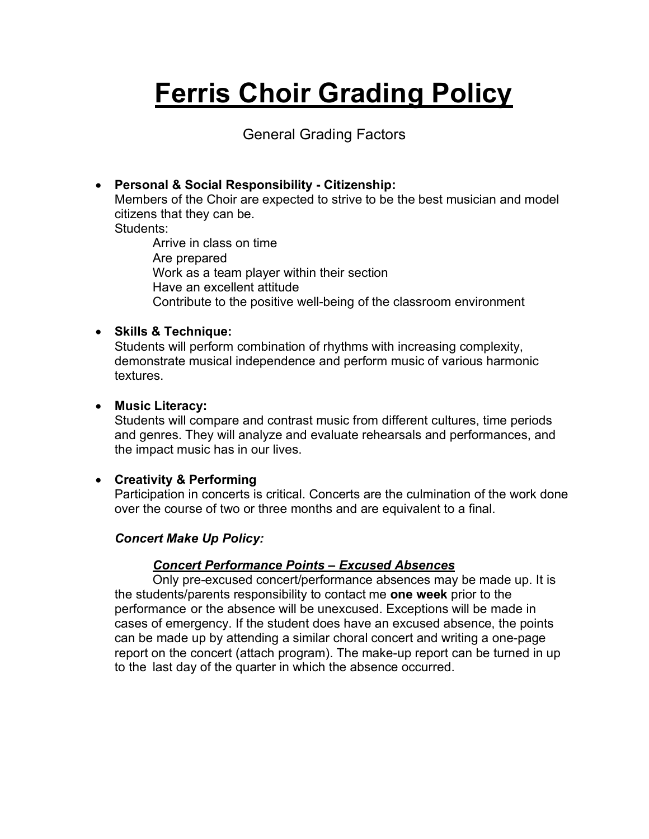# **Ferris Choir Grading Policy**

General Grading Factors

## • **Personal & Social Responsibility - Citizenship:**

Members of the Choir are expected to strive to be the best musician and model citizens that they can be.

Students:

Arrive in class on time Are prepared Work as a team player within their section Have an excellent attitude Contribute to the positive well-being of the classroom environment

#### • **Skills & Technique:**

Students will perform combination of rhythms with increasing complexity, demonstrate musical independence and perform music of various harmonic textures.

#### • **Music Literacy:**

Students will compare and contrast music from different cultures, time periods and genres. They will analyze and evaluate rehearsals and performances, and the impact music has in our lives.

### • **Creativity & Performing**

Participation in concerts is critical. Concerts are the culmination of the work done over the course of two or three months and are equivalent to a final.

### *Concert Make Up Policy:*

### *Concert Performance Points – Excused Absences*

Only pre-excused concert/performance absences may be made up. It is the students/parents responsibility to contact me **one week** prior to the performance or the absence will be unexcused. Exceptions will be made in cases of emergency. If the student does have an excused absence, the points can be made up by attending a similar choral concert and writing a one-page report on the concert (attach program). The make-up report can be turned in up to the last day of the quarter in which the absence occurred.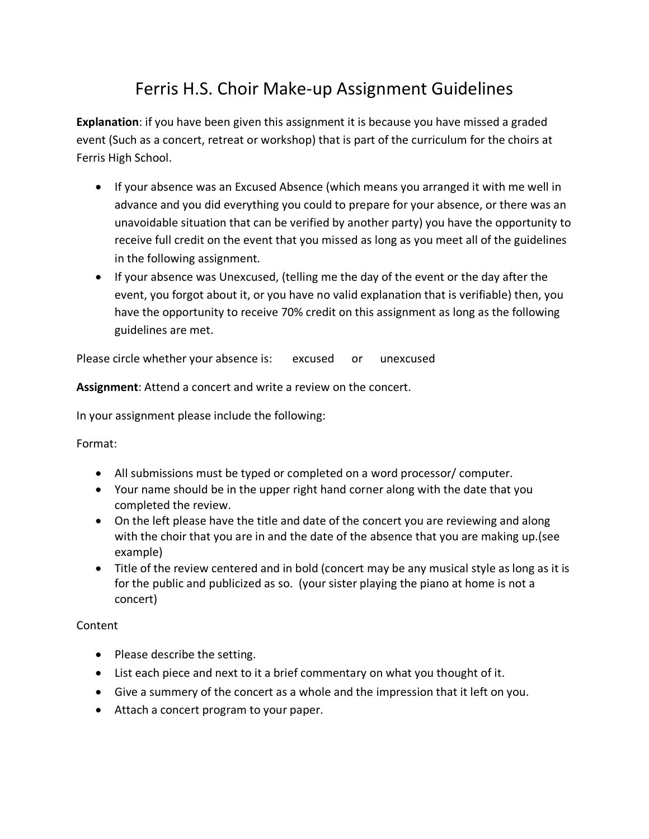# Ferris H.S. Choir Make-up Assignment Guidelines

**Explanation**: if you have been given this assignment it is because you have missed a graded event (Such as a concert, retreat or workshop) that is part of the curriculum for the choirs at Ferris High School.

- If your absence was an Excused Absence (which means you arranged it with me well in advance and you did everything you could to prepare for your absence, or there was an unavoidable situation that can be verified by another party) you have the opportunity to receive full credit on the event that you missed as long as you meet all of the guidelines in the following assignment.
- If your absence was Unexcused, (telling me the day of the event or the day after the event, you forgot about it, or you have no valid explanation that is verifiable) then, you have the opportunity to receive 70% credit on this assignment as long as the following guidelines are met.

Please circle whether your absence is: excused or unexcused

**Assignment**: Attend a concert and write a review on the concert.

In your assignment please include the following:

Format:

- All submissions must be typed or completed on a word processor/ computer.
- Your name should be in the upper right hand corner along with the date that you completed the review.
- On the left please have the title and date of the concert you are reviewing and along with the choir that you are in and the date of the absence that you are making up.(see example)
- Title of the review centered and in bold (concert may be any musical style as long as it is for the public and publicized as so. (your sister playing the piano at home is not a concert)

Content

- Please describe the setting.
- List each piece and next to it a brief commentary on what you thought of it.
- Give a summery of the concert as a whole and the impression that it left on you.
- Attach a concert program to your paper.